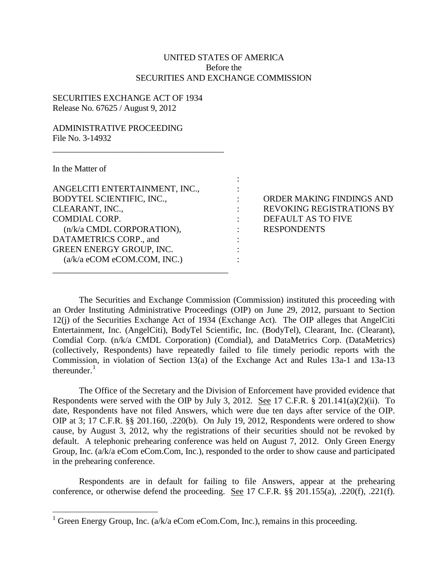## UNITED STATES OF AMERICA Before the SECURITIES AND EXCHANGE COMMISSION

:

## SECURITIES EXCHANGE ACT OF 1934 Release No. 67625 / August 9, 2012

## ADMINISTRATIVE PROCEEDING File No. 3-14932

In the Matter of

| ANGELCITI ENTERTAINMENT, INC.,                                                                                              |                              |  |
|-----------------------------------------------------------------------------------------------------------------------------|------------------------------|--|
| BODYTEL SCIENTIFIC, INC.,<br>CLEARANT, INC.,<br><b>COMDIAL CORP.</b><br>(n/k/a CMDL CORPORATION),<br>DATAMETRICS CORP., and |                              |  |
|                                                                                                                             |                              |  |
|                                                                                                                             |                              |  |
|                                                                                                                             | GREEN ENERGY GROUP, INC.     |  |
|                                                                                                                             | (a/k/a eCOM eCOM. COM, INC.) |  |
|                                                                                                                             |                              |  |

 $\overline{\phantom{a}}$  , and the set of the set of the set of the set of the set of the set of the set of the set of the set of the set of the set of the set of the set of the set of the set of the set of the set of the set of the s

: ORDER MAKING FINDINGS AND : REVOKING REGISTRATIONS BY : DEFAULT AS TO FIVE : RESPONDENTS

The Securities and Exchange Commission (Commission) instituted this proceeding with an Order Instituting Administrative Proceedings (OIP) on June 29, 2012, pursuant to Section 12(j) of the Securities Exchange Act of 1934 (Exchange Act). The OIP alleges that AngelCiti Entertainment, Inc. (AngelCiti), BodyTel Scientific, Inc. (BodyTel), Clearant, Inc. (Clearant), Comdial Corp. (n/k/a CMDL Corporation) (Comdial), and DataMetrics Corp. (DataMetrics) (collectively, Respondents) have repeatedly failed to file timely periodic reports with the Commission, in violation of Section 13(a) of the Exchange Act and Rules 13a-1 and 13a-13 thereunder. $1$ 

The Office of the Secretary and the Division of Enforcement have provided evidence that Respondents were served with the OIP by July 3, 2012. See 17 C.F.R. § 201.141(a)(2)(ii). To date, Respondents have not filed Answers, which were due ten days after service of the OIP. OIP at 3; 17 C.F.R. §§ 201.160, .220(b). On July 19, 2012, Respondents were ordered to show cause, by August 3, 2012, why the registrations of their securities should not be revoked by default. A telephonic prehearing conference was held on August 7, 2012. Only Green Energy Group, Inc. (a/k/a eCom eCom.Com, Inc.), responded to the order to show cause and participated in the prehearing conference.

Respondents are in default for failing to file Answers, appear at the prehearing conference, or otherwise defend the proceeding. See 17 C.F.R. §§ 201.155(a), .220(f), .221(f).

<span id="page-0-0"></span><sup>&</sup>lt;sup>1</sup> Green Energy Group, Inc. (a/k/a eCom eCom.Com, Inc.), remains in this proceeding.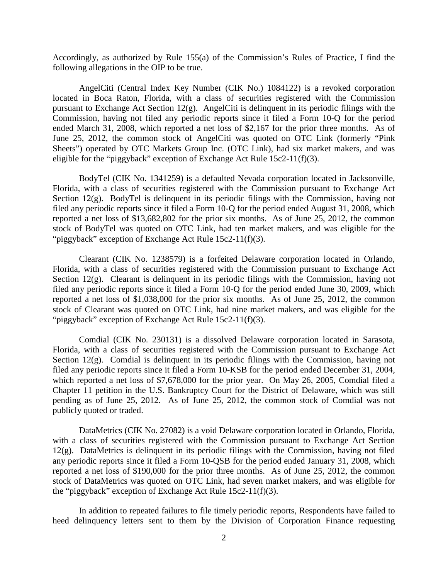Accordingly, as authorized by Rule 155(a) of the Commission's Rules of Practice, I find the following allegations in the OIP to be true.

AngelCiti (Central Index Key Number (CIK No.) 1084122) is a revoked corporation located in Boca Raton, Florida, with a class of securities registered with the Commission pursuant to Exchange Act Section 12(g). AngelCiti is delinquent in its periodic filings with the Commission, having not filed any periodic reports since it filed a Form 10-Q for the period ended March 31, 2008, which reported a net loss of \$2,167 for the prior three months. As of June 25, 2012, the common stock of AngelCiti was quoted on OTC Link (formerly "Pink Sheets") operated by OTC Markets Group Inc. (OTC Link), had six market makers, and was eligible for the "piggyback" exception of Exchange Act Rule 15c2-11(f)(3).

BodyTel (CIK No. 1341259) is a defaulted Nevada corporation located in Jacksonville, Florida, with a class of securities registered with the Commission pursuant to Exchange Act Section 12(g). BodyTel is delinquent in its periodic filings with the Commission, having not filed any periodic reports since it filed a Form 10-Q for the period ended August 31, 2008, which reported a net loss of \$13,682,802 for the prior six months. As of June 25, 2012, the common stock of BodyTel was quoted on OTC Link, had ten market makers, and was eligible for the "piggyback" exception of Exchange Act Rule 15c2-11(f)(3).

Clearant (CIK No. 1238579) is a forfeited Delaware corporation located in Orlando, Florida, with a class of securities registered with the Commission pursuant to Exchange Act Section 12(g). Clearant is delinquent in its periodic filings with the Commission, having not filed any periodic reports since it filed a Form 10-Q for the period ended June 30, 2009, which reported a net loss of \$1,038,000 for the prior six months. As of June 25, 2012, the common stock of Clearant was quoted on OTC Link, had nine market makers, and was eligible for the "piggyback" exception of Exchange Act Rule 15c2-11(f)(3).

Comdial (CIK No. 230131) is a dissolved Delaware corporation located in Sarasota, Florida, with a class of securities registered with the Commission pursuant to Exchange Act Section 12(g). Comdial is delinquent in its periodic filings with the Commission, having not filed any periodic reports since it filed a Form 10-KSB for the period ended December 31, 2004, which reported a net loss of \$7,678,000 for the prior year. On May 26, 2005, Comdial filed a Chapter 11 petition in the U.S. Bankruptcy Court for the District of Delaware, which was still pending as of June 25, 2012. As of June 25, 2012, the common stock of Comdial was not publicly quoted or traded.

DataMetrics (CIK No. 27082) is a void Delaware corporation located in Orlando, Florida, with a class of securities registered with the Commission pursuant to Exchange Act Section 12(g). DataMetrics is delinquent in its periodic filings with the Commission, having not filed any periodic reports since it filed a Form 10-QSB for the period ended January 31, 2008, which reported a net loss of \$190,000 for the prior three months. As of June 25, 2012, the common stock of DataMetrics was quoted on OTC Link, had seven market makers, and was eligible for the "piggyback" exception of Exchange Act Rule 15c2-11(f)(3).

In addition to repeated failures to file timely periodic reports, Respondents have failed to heed delinquency letters sent to them by the Division of Corporation Finance requesting